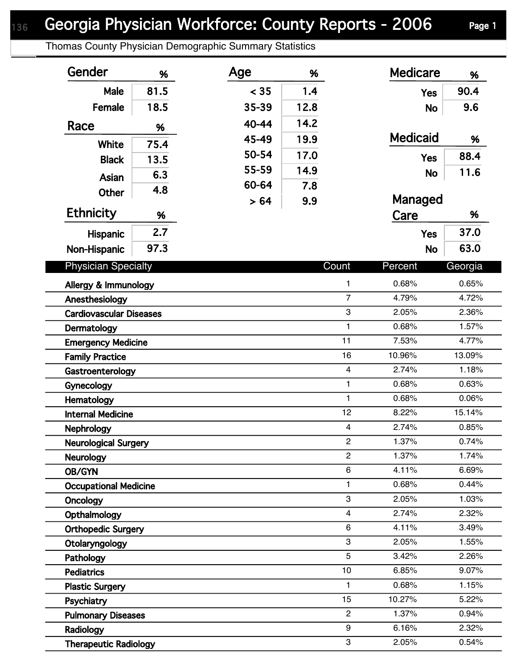## Georgia Physician Workforce: County Reports - 2006 Page 1

Thomas County Physician Demographic Summary Statistics

| Gender                         | %    | Age   | %    |                         | <b>Medicare</b> | %       |  |
|--------------------------------|------|-------|------|-------------------------|-----------------|---------|--|
| Male                           | 81.5 | < 35  | 1.4  |                         | <b>Yes</b>      | 90.4    |  |
| Female                         | 18.5 | 35-39 | 12.8 |                         | <b>No</b>       | 9.6     |  |
| Race                           |      | 40-44 | 14.2 |                         |                 |         |  |
|                                | %    | 45-49 | 19.9 |                         | <b>Medicaid</b> | %       |  |
| <b>White</b>                   | 75.4 | 50-54 | 17.0 |                         |                 | 88.4    |  |
| <b>Black</b>                   | 13.5 | 55-59 | 14.9 |                         | <b>Yes</b>      |         |  |
| <b>Asian</b>                   | 6.3  | 60-64 | 7.8  |                         | <b>No</b>       | 11.6    |  |
| <b>Other</b>                   | 4.8  | > 64  | 9.9  |                         | Managed         |         |  |
| <b>Ethnicity</b>               | %    |       |      |                         | Care            | %       |  |
|                                | 2.7  |       |      |                         |                 | 37.0    |  |
| Hispanic                       | 97.3 |       |      |                         | <b>Yes</b>      | 63.0    |  |
| Non-Hispanic                   |      |       |      |                         | <b>No</b>       |         |  |
| <b>Physician Specialty</b>     |      |       |      | Count                   | Percent         | Georgia |  |
| Allergy & Immunology           |      |       |      | $\mathbf{1}$            | 0.68%           | 0.65%   |  |
| Anesthesiology                 |      |       |      | $\overline{7}$          | 4.79%           | 4.72%   |  |
| <b>Cardiovascular Diseases</b> |      |       |      | 3                       | 2.05%           | 2.36%   |  |
| Dermatology                    |      |       |      | $\mathbf{1}$            | 0.68%           | 1.57%   |  |
| <b>Emergency Medicine</b>      |      |       |      | 11                      | 7.53%           | 4.77%   |  |
| <b>Family Practice</b>         |      |       |      | 16                      | 10.96%          | 13.09%  |  |
| Gastroenterology               |      |       |      | $\overline{\mathbf{4}}$ | 2.74%           | 1.18%   |  |
| Gynecology                     |      |       |      | $\mathbf{1}$            | 0.68%           | 0.63%   |  |
| Hematology                     |      |       |      | $\mathbf{1}$            | 0.68%           | 0.06%   |  |
| <b>Internal Medicine</b>       |      |       |      | 12                      | 8.22%           | 15.14%  |  |
| <b>Nephrology</b>              |      |       |      | $\overline{\mathbf{4}}$ | 2.74%           | 0.85%   |  |
| <b>Neurological Surgery</b>    |      |       |      | $\overline{2}$          | 1.37%           | 0.74%   |  |
| <b>Neurology</b>               |      |       |      | $\overline{2}$          | 1.37%           | 1.74%   |  |
| OB/GYN                         |      |       |      | 6                       | 4.11%           | 6.69%   |  |
| <b>Occupational Medicine</b>   |      |       |      | 1                       | 0.68%           | 0.44%   |  |
| Oncology                       |      |       |      | 3                       | 2.05%           | 1.03%   |  |
| Opthalmology                   |      |       |      | $\overline{4}$          | 2.74%           | 2.32%   |  |
| <b>Orthopedic Surgery</b>      |      |       |      | 6                       | 4.11%           | 3.49%   |  |
| Otolaryngology                 |      |       |      | 3                       | 2.05%           | 1.55%   |  |
| Pathology                      |      |       |      | 5                       | 3.42%           | 2.26%   |  |
| <b>Pediatrics</b>              |      |       |      | 10                      | 6.85%           | 9.07%   |  |
| <b>Plastic Surgery</b>         |      |       |      | $\mathbf{1}$            | 0.68%           | 1.15%   |  |
| Psychiatry                     |      |       |      | 15                      | 10.27%          | 5.22%   |  |
| <b>Pulmonary Diseases</b>      |      |       |      | $\overline{c}$          | 1.37%           | 0.94%   |  |
| Radiology                      |      |       |      | 9                       | 6.16%           | 2.32%   |  |
| <b>Therapeutic Radiology</b>   |      |       |      | 3                       | 2.05%           | 0.54%   |  |